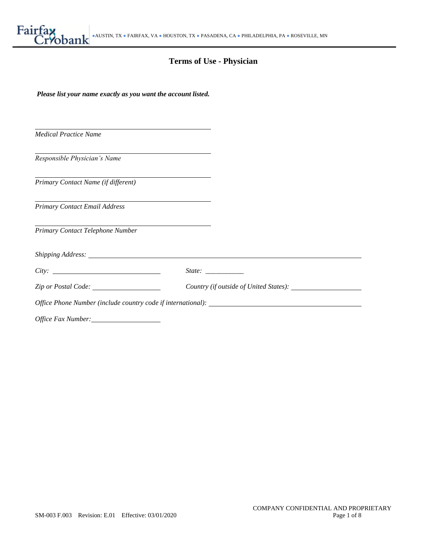# **Terms of Use - Physician**

| Please list your name exactly as you want the account listed.                                                                                                                                                                  |  |  |
|--------------------------------------------------------------------------------------------------------------------------------------------------------------------------------------------------------------------------------|--|--|
|                                                                                                                                                                                                                                |  |  |
| the control of the control of the control of the control of the control of the control of the control of the control of<br><b>Medical Practice Name</b>                                                                        |  |  |
| <u> 1989 - Johann Barn, amerikansk politiker (d. 1989)</u>                                                                                                                                                                     |  |  |
| Responsible Physician's Name                                                                                                                                                                                                   |  |  |
| Primary Contact Name (if different)                                                                                                                                                                                            |  |  |
| Primary Contact Email Address                                                                                                                                                                                                  |  |  |
| Primary Contact Telephone Number                                                                                                                                                                                               |  |  |
| Shipping Address: The Communication of the Communication of the Communication of the Communication of the Communication of the Communication of the Communication of the Communication of the Communication of the Communicati |  |  |
| City:                                                                                                                                                                                                                          |  |  |
| Zip or Postal Code:                                                                                                                                                                                                            |  |  |
| Office Phone Number (include country code if international):                                                                                                                                                                   |  |  |
| Office Fax Number:                                                                                                                                                                                                             |  |  |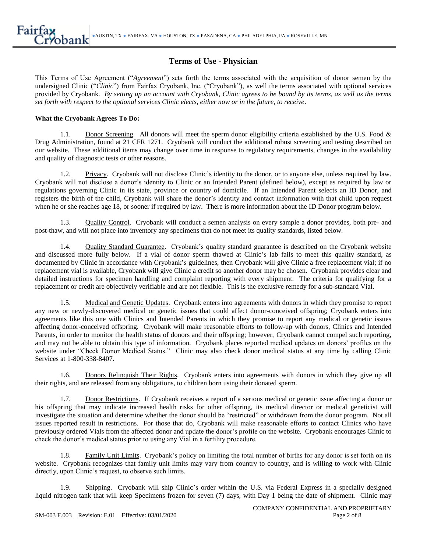# **Terms of Use - Physician**

This Terms of Use Agreement ("*Agreement*") sets forth the terms associated with the acquisition of donor semen by the undersigned Clinic ("*Clinic*") from Fairfax Cryobank, Inc. ("Cryobank"), as well the terms associated with optional services provided by Cryobank. *By setting up an account with Cryobank, Clinic agrees to be bound by its terms, as well as the terms set forth with respect to the optional services Clinic elects, either now or in the future, to receive*.

#### **What the Cryobank Agrees To Do:**

1.1. Donor Screening*.* All donors will meet the sperm donor eligibility criteria established by the U.S. Food & Drug Administration, found at 21 CFR 1271. Cryobank will conduct the additional robust screening and testing described on our website. These additional items may change over time in response to regulatory requirements, changes in the availability and quality of diagnostic tests or other reasons.

1.2. Privacy. Cryobank will not disclose Clinic's identity to the donor, or to anyone else, unless required by law. Cryobank will not disclose a donor's identity to Clinic or an Intended Parent (defined below), except as required by law or regulations governing Clinic in its state, province or country of domicile. If an Intended Parent selects an ID Donor, and registers the birth of the child, Cryobank will share the donor's identity and contact information with that child upon request when he or she reaches age 18, or sooner if required by law. There is more information about the ID Donor program below.

1.3. Quality Control. Cryobank will conduct a semen analysis on every sample a donor provides, both pre- and post-thaw, and will not place into inventory any specimens that do not meet its quality standards, listed below.

1.4. Quality Standard Guarantee. Cryobank's quality standard guarantee is described on the Cryobank website and discussed more fully below. If a vial of donor sperm thawed at Clinic's lab fails to meet this quality standard, as documented by Clinic in accordance with Cryobank's guidelines, then Cryobank will give Clinic a free replacement vial; if no replacement vial is available, Cryobank will give Clinic a credit so another donor may be chosen. Cryobank provides clear and detailed instructions for specimen handling and complaint reporting with every shipment. The criteria for qualifying for a replacement or credit are objectively verifiable and are not flexible. This is the exclusive remedy for a sub-standard Vial.

1.5. Medical and Genetic Updates. Cryobank enters into agreements with donors in which they promise to report any new or newly-discovered medical or genetic issues that could affect donor-conceived offspring; Cryobank enters into agreements like this one with Clinics and Intended Parents in which they promise to report any medical or genetic issues affecting donor-conceived offspring. Cryobank will make reasonable efforts to follow-up with donors, Clinics and Intended Parents, in order to monitor the health status of donors and their offspring; however, Cryobank cannot compel such reporting, and may not be able to obtain this type of information. Cryobank places reported medical updates on donors' profiles on the website under "Check Donor Medical Status." Clinic may also check donor medical status at any time by calling Clinic Services at 1-800-338-8407.

1.6. Donors Relinquish Their Rights. Cryobank enters into agreements with donors in which they give up all their rights, and are released from any obligations, to children born using their donated sperm.

1.7. Donor Restrictions. If Cryobank receives a report of a serious medical or genetic issue affecting a donor or his offspring that may indicate increased health risks for other offspring, its medical director or medical geneticist will investigate the situation and determine whether the donor should be "restricted" or withdrawn from the donor program. Not all issues reported result in restrictions. For those that do, Cryobank will make reasonable efforts to contact Clinics who have previously ordered Vials from the affected donor and update the donor's profile on the website. Cryobank encourages Clinic to check the donor's medical status prior to using any Vial in a fertility procedure.

1.8. Family Unit Limits. Cryobank's policy on limiting the total number of births for any donor is set forth on its website. Cryobank recognizes that family unit limits may vary from country to country, and is willing to work with Clinic directly, upon Clinic's request, to observe such limits.

1.9. Shipping. Cryobank will ship Clinic's order within the U.S. via Federal Express in a specially designed liquid nitrogen tank that will keep Specimens frozen for seven (7) days, with Day 1 being the date of shipment. Clinic may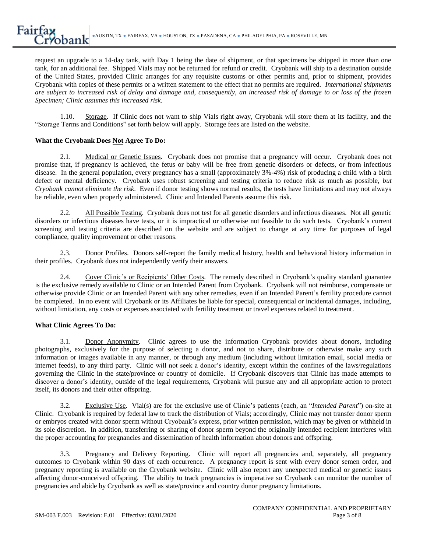request an upgrade to a 14-day tank, with Day 1 being the date of shipment, or that specimens be shipped in more than one tank, for an additional fee. Shipped Vials may not be returned for refund or credit. Cryobank will ship to a destination outside of the United States, provided Clinic arranges for any requisite customs or other permits and, prior to shipment, provides Cryobank with copies of these permits or a written statement to the effect that no permits are required. *International shipments are subject to increased risk of delay and damage and, consequently, an increased risk of damage to or loss of the frozen Specimen; Clinic assumes this increased risk*.

1.10. Storage. If Clinic does not want to ship Vials right away, Cryobank will store them at its facility, and the "Storage Terms and Conditions" set forth below will apply. Storage fees are listed on the website.

# **What the Cryobank Does Not Agree To Do:**

2.1. Medical or Genetic Issues. Cryobank does not promise that a pregnancy will occur. Cryobank does not promise that, if pregnancy is achieved, the fetus or baby will be free from genetic disorders or defects, or from infectious disease. In the general population, every pregnancy has a small (approximately 3%-4%) risk of producing a child with a birth defect or mental deficiency. Cryobank uses robust screening and testing criteria to reduce risk as much as possible, *but Cryobank cannot eliminate the risk*. Even if donor testing shows normal results, the tests have limitations and may not always be reliable, even when properly administered. Clinic and Intended Parents assume this risk.

2.2. All Possible Testing. Cryobank does not test for all genetic disorders and infectious diseases. Not all genetic disorders or infectious diseases have tests, or it is impractical or otherwise not feasible to do such tests. Cryobank's current screening and testing criteria are described on the website and are subject to change at any time for purposes of legal compliance, quality improvement or other reasons.

2.3. Donor Profiles. Donors self-report the family medical history, health and behavioral history information in their profiles. Cryobank does not independently verify their answers.

2.4. Cover Clinic's or Recipients' Other Costs. The remedy described in Cryobank's quality standard guarantee is the exclusive remedy available to Clinic or an Intended Parent from Cryobank. Cryobank will not reimburse, compensate or otherwise provide Clinic or an Intended Parent with any other remedies, even if an Intended Parent's fertility procedure cannot be completed. In no event will Cryobank or its Affiliates be liable for special, consequential or incidental damages, including, without limitation, any costs or expenses associated with fertility treatment or travel expenses related to treatment.

## **What Clinic Agrees To Do:**

3.1. Donor Anonymity. Clinic agrees to use the information Cryobank provides about donors, including photographs, exclusively for the purpose of selecting a donor, and not to share, distribute or otherwise make any such information or images available in any manner, or through any medium (including without limitation email, social media or internet feeds), to any third party. Clinic will not seek a donor's identity, except within the confines of the laws/regulations governing the Clinic in the state/province or country of domicile. If Cryobank discovers that Clinic has made attempts to discover a donor's identity, outside of the legal requirements, Cryobank will pursue any and all appropriate action to protect itself, its donors and their other offspring.

3.2. Exclusive Use. Vial(s) are for the exclusive use of Clinic's patients (each, an "*Intended Parent*") on-site at Clinic. Cryobank is required by federal law to track the distribution of Vials; accordingly, Clinic may not transfer donor sperm or embryos created with donor sperm without Cryobank's express, prior written permission, which may be given or withheld in its sole discretion. In addition, transferring or sharing of donor sperm beyond the originally intended recipient interferes with the proper accounting for pregnancies and dissemination of health information about donors and offspring.

3.3. Pregnancy and Delivery Reporting. Clinic will report all pregnancies and, separately, all pregnancy outcomes to Cryobank within 90 days of each occurrence. A pregnancy report is sent with every donor semen order, and pregnancy reporting is available on the Cryobank website. Clinic will also report any unexpected medical or genetic issues affecting donor-conceived offspring. The ability to track pregnancies is imperative so Cryobank can monitor the number of pregnancies and abide by Cryobank as well as state/province and country donor pregnancy limitations.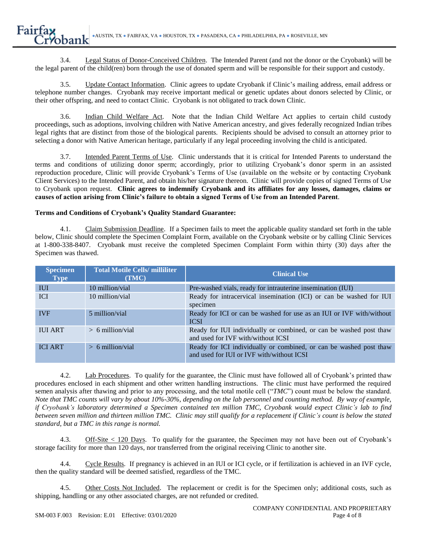3.4. Legal Status of Donor-Conceived Children. The Intended Parent (and not the donor or the Cryobank) will be the legal parent of the child(ren) born through the use of donated sperm and will be responsible for their support and custody.

3.5. Update Contact Information. Clinic agrees to update Cryobank if Clinic's mailing address, email address or telephone number changes. Cryobank may receive important medical or genetic updates about donors selected by Clinic, or their other offspring, and need to contact Clinic. Cryobank is not obligated to track down Clinic.

3.6. Indian Child Welfare Act. Note that the Indian Child Welfare Act applies to certain child custody proceedings, such as adoptions, involving children with Native American ancestry, and gives federally recognized Indian tribes legal rights that are distinct from those of the biological parents. Recipients should be advised to consult an attorney prior to selecting a donor with Native American heritage, particularly if any legal proceeding involving the child is anticipated.

3.7. Intended Parent Terms of Use. Clinic understands that it is critical for Intended Parents to understand the terms and conditions of utilizing donor sperm; accordingly, prior to utilizing Cryobank's donor sperm in an assisted reproduction procedure, Clinic will provide Cryobank's Terms of Use (available on the website or by contacting Cryobank Client Services) to the Intended Parent, and obtain his/her signature thereon. Clinic will provide copies of signed Terms of Use to Cryobank upon request. **Clinic agrees to indemnify Cryobank and its affiliates for any losses, damages, claims or causes of action arising from Clinic's failure to obtain a signed Terms of Use from an Intended Parent**.

## **Terms and Conditions of Cryobank's Quality Standard Guarantee:**

4.1. Claim Submission Deadline. If a Specimen fails to meet the applicable quality standard set forth in the table below, Clinic should complete the Specimen Complaint Form, available on the Cryobank website or by calling Clinic Services at 1-800-338-8407. Cryobank must receive the completed Specimen Complaint Form within thirty (30) days after the Specimen was thawed.

| <b>Specimen</b><br><b>Type</b> | <b>Total Motile Cells/milliliter</b><br>(TMC) | <b>Clinical Use</b>                                                                                             |
|--------------------------------|-----------------------------------------------|-----------------------------------------------------------------------------------------------------------------|
| <b>IUI</b>                     | 10 million/vial                               | Pre-washed vials, ready for intrauterine insemination (IUI)                                                     |
| <b>ICI</b>                     | 10 million/vial                               | Ready for intracervical insemination (ICI) or can be washed for IUI<br>specimen                                 |
| <b>IVF</b>                     | 5 million/vial                                | Ready for ICI or can be washed for use as an IUI or IVF with/without<br><b>ICSI</b>                             |
| <b>IUI ART</b>                 | $> 6$ million/vial                            | Ready for IUI individually or combined, or can be washed post thaw<br>and used for IVF with/without ICSI        |
| <b>ICI ART</b>                 | $> 6$ million/vial                            | Ready for ICI individually or combined, or can be washed post thaw<br>and used for IUI or IVF with/without ICSI |

4.2. Lab Procedures. To qualify for the guarantee, the Clinic must have followed all of Cryobank's printed thaw procedures enclosed in each shipment and other written handling instructions. The clinic must have performed the required semen analysis after thawing and prior to any processing, and the total motile cell ("*TMC*") count must be below the standard. *Note that TMC counts will vary by about 10%-30%, depending on the lab personnel and counting method. By way of example, if Cryobank's laboratory determined a Specimen contained ten million TMC, Cryobank would expect Clinic's lab to find between seven million and thirteen million TMC. Clinic may still qualify for a replacement if Clinic's count is below the stated standard, but a TMC in this range is normal.*

4.3. Off-Site < 120 Days. To qualify for the guarantee, the Specimen may not have been out of Cryobank's storage facility for more than 120 days, nor transferred from the original receiving Clinic to another site.

4.4. Cycle Results. If pregnancy is achieved in an IUI or ICI cycle, or if fertilization is achieved in an IVF cycle, then the quality standard will be deemed satisfied, regardless of the TMC.

4.5. Other Costs Not Included. The replacement or credit is for the Specimen only; additional costs, such as shipping, handling or any other associated charges, are not refunded or credited.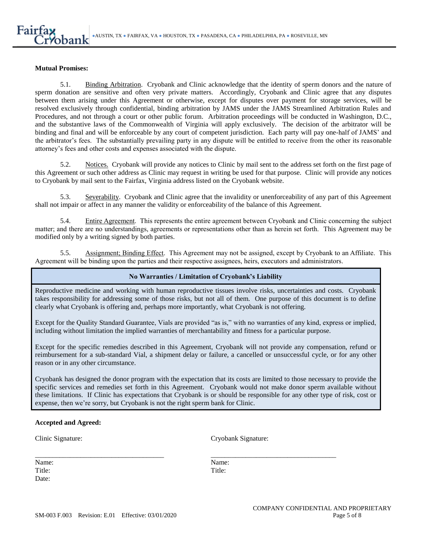#### **Mutual Promises:**

5.1. Binding Arbitration. Cryobank and Clinic acknowledge that the identity of sperm donors and the nature of sperm donation are sensitive and often very private matters. Accordingly, Cryobank and Clinic agree that any disputes between them arising under this Agreement or otherwise, except for disputes over payment for storage services, will be resolved exclusively through confidential, binding arbitration by JAMS under the JAMS Streamlined Arbitration Rules and Procedures, and not through a court or other public forum. Arbitration proceedings will be conducted in Washington, D.C., and the substantive laws of the Commonwealth of Virginia will apply exclusively. The decision of the arbitrator will be binding and final and will be enforceable by any court of competent jurisdiction. Each party will pay one-half of JAMS' and the arbitrator's fees. The substantially prevailing party in any dispute will be entitled to receive from the other its reasonable attorney's fees and other costs and expenses associated with the dispute.

5.2. Notices. Cryobank will provide any notices to Clinic by mail sent to the address set forth on the first page of this Agreement or such other address as Clinic may request in writing be used for that purpose. Clinic will provide any notices to Cryobank by mail sent to the Fairfax, Virginia address listed on the Cryobank website.

5.3. Severability. Cryobank and Clinic agree that the invalidity or unenforceability of any part of this Agreement shall not impair or affect in any manner the validity or enforceability of the balance of this Agreement.

5.4. Entire Agreement. This represents the entire agreement between Cryobank and Clinic concerning the subject matter; and there are no understandings, agreements or representations other than as herein set forth. This Agreement may be modified only by a writing signed by both parties.

5.5. Assignment; Binding Effect. This Agreement may not be assigned, except by Cryobank to an Affiliate. This Agreement will be binding upon the parties and their respective assignees, heirs, executors and administrators.

#### **No Warranties / Limitation of Cryobank's Liability**

Reproductive medicine and working with human reproductive tissues involve risks, uncertainties and costs. Cryobank takes responsibility for addressing some of those risks, but not all of them. One purpose of this document is to define clearly what Cryobank is offering and, perhaps more importantly, what Cryobank is not offering.

Except for the Quality Standard Guarantee, Vials are provided "as is," with no warranties of any kind, express or implied, including without limitation the implied warranties of merchantability and fitness for a particular purpose.

Except for the specific remedies described in this Agreement, Cryobank will not provide any compensation, refund or reimbursement for a sub-standard Vial, a shipment delay or failure, a cancelled or unsuccessful cycle, or for any other reason or in any other circumstance.

Cryobank has designed the donor program with the expectation that its costs are limited to those necessary to provide the specific services and remedies set forth in this Agreement. Cryobank would not make donor sperm available without these limitations. If Clinic has expectations that Cryobank is or should be responsible for any other type of risk, cost or expense, then we're sorry, but Cryobank is not the right sperm bank for Clinic.

\_\_\_\_\_\_\_\_\_\_\_\_\_\_\_\_\_\_\_\_\_\_\_\_\_\_\_\_\_\_\_\_\_\_\_\_\_ \_\_\_\_\_\_\_\_\_\_\_\_\_\_\_\_\_\_\_\_\_\_\_\_\_\_\_\_\_\_\_\_\_\_\_\_

#### **Accepted and Agreed:**

Clinic Signature: Cryobank Signature:

Name: Name: Title: Title: Date: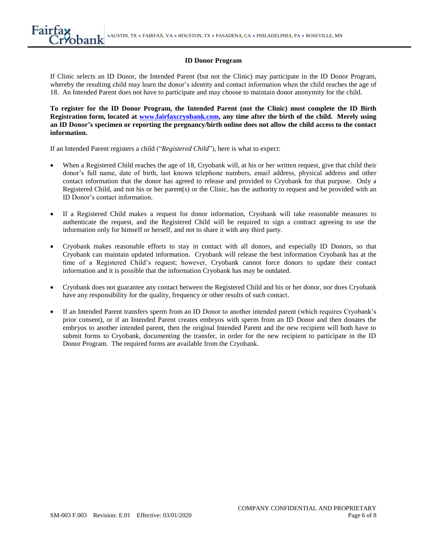#### **ID Donor Program**

If Clinic selects an ID Donor, the Intended Parent (but not the Clinic) may participate in the ID Donor Program, whereby the resulting child may learn the donor's identity and contact information when the child reaches the age of 18. An Intended Parent does not have to participate and may choose to maintain donor anonymity for the child.

**To register for the ID Donor Program, the Intended Parent (not the Clinic) must complete the ID Birth Registration form, located at [www.fairfaxcryobank.com,](http://www.fairfaxcryobank.com/) any time after the birth of the child. Merely using an ID Donor's specimen or reporting the pregnancy/birth online does not allow the child access to the contact information.**

If an Intended Parent registers a child ("*Registered Child*"), here is what to expect:

- When a Registered Child reaches the age of 18, Cryobank will, at his or her written request, give that child their donor's full name, date of birth, last known telephone numbers, email address, physical address and other contact information that the donor has agreed to release and provided to Cryobank for that purpose. Only a Registered Child, and not his or her parent(s) or the Clinic, has the authority to request and be provided with an ID Donor's contact information.
- If a Registered Child makes a request for donor information, Cryobank will take reasonable measures to authenticate the request, and the Registered Child will be required to sign a contract agreeing to use the information only for himself or herself, and not to share it with any third party.
- Cryobank makes reasonable efforts to stay in contact with all donors, and especially ID Donors, so that Cryobank can maintain updated information. Cryobank will release the best information Cryobank has at the time of a Registered Child's request; however, Cryobank cannot force donors to update their contact information and it is possible that the information Cryobank has may be outdated.
- Cryobank does not guarantee any contact between the Registered Child and his or her donor, nor does Cryobank have any responsibility for the quality, frequency or other results of such contact.
- If an Intended Parent transfers sperm from an ID Donor to another intended parent (which requires Cryobank's prior consent), or if an Intended Parent creates embryos with sperm from an ID Donor and then donates the embryos to another intended parent, then the original Intended Parent and the new recipient will both have to submit forms to Cryobank, documenting the transfer, in order for the new recipient to participate in the ID Donor Program. The required forms are available from the Cryobank.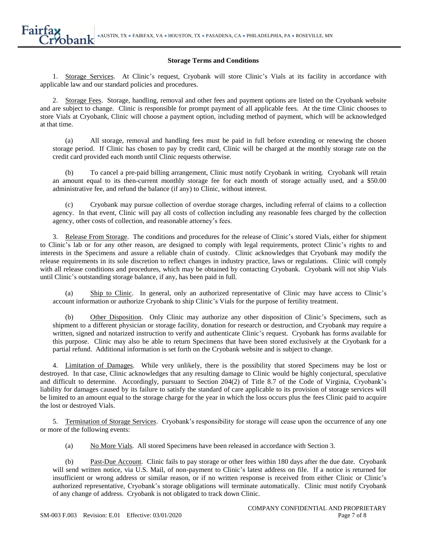#### **Storage Terms and Conditions**

1. Storage Services. At Clinic's request, Cryobank will store Clinic's Vials at its facility in accordance with applicable law and our standard policies and procedures.

2. Storage Fees. Storage, handling, removal and other fees and payment options are listed on the Cryobank website and are subject to change. Clinic is responsible for prompt payment of all applicable fees. At the time Clinic chooses to store Vials at Cryobank, Clinic will choose a payment option, including method of payment, which will be acknowledged at that time.

(a) All storage, removal and handling fees must be paid in full before extending or renewing the chosen storage period. If Clinic has chosen to pay by credit card, Clinic will be charged at the monthly storage rate on the credit card provided each month until Clinic requests otherwise.

(b) To cancel a pre-paid billing arrangement, Clinic must notify Cryobank in writing. Cryobank will retain an amount equal to its then-current monthly storage fee for each month of storage actually used, and a \$50.00 administrative fee, and refund the balance (if any) to Clinic, without interest.

(c) Cryobank may pursue collection of overdue storage charges, including referral of claims to a collection agency. In that event, Clinic will pay all costs of collection including any reasonable fees charged by the collection agency, other costs of collection, and reasonable attorney's fees.

3. Release From Storage. The conditions and procedures for the release of Clinic's stored Vials, either for shipment to Clinic's lab or for any other reason, are designed to comply with legal requirements, protect Clinic's rights to and interests in the Specimens and assure a reliable chain of custody. Clinic acknowledges that Cryobank may modify the release requirements in its sole discretion to reflect changes in industry practice, laws or regulations. Clinic will comply with all release conditions and procedures, which may be obtained by contacting Cryobank. Cryobank will not ship Vials until Clinic's outstanding storage balance, if any, has been paid in full.

(a) Ship to Clinic. In general, only an authorized representative of Clinic may have access to Clinic's account information or authorize Cryobank to ship Clinic's Vials for the purpose of fertility treatment.

(b) Other Disposition. Only Clinic may authorize any other disposition of Clinic's Specimens, such as shipment to a different physician or storage facility, donation for research or destruction, and Cryobank may require a written, signed and notarized instruction to verify and authenticate Clinic's request. Cryobank has forms available for this purpose. Clinic may also be able to return Specimens that have been stored exclusively at the Cryobank for a partial refund. Additional information is set forth on the Cryobank website and is subject to change.

4. Limitation of Damages. While very unlikely, there is the possibility that stored Specimens may be lost or destroyed. In that case, Clinic acknowledges that any resulting damage to Clinic would be highly conjectural, speculative and difficult to determine. Accordingly, pursuant to Section 204(2) of Title 8.7 of the Code of Virginia, Cryobank's liability for damages caused by its failure to satisfy the standard of care applicable to its provision of storage services will be limited to an amount equal to the storage charge for the year in which the loss occurs plus the fees Clinic paid to acquire the lost or destroyed Vials.

5. Termination of Storage Services. Cryobank's responsibility for storage will cease upon the occurrence of any one or more of the following events:

(a) No More Vials. All stored Specimens have been released in accordance with Section 3.

(b) Past-Due Account. Clinic fails to pay storage or other fees within 180 days after the due date. Cryobank will send written notice, via U.S. Mail, of non-payment to Clinic's latest address on file. If a notice is returned for insufficient or wrong address or similar reason, or if no written response is received from either Clinic or Clinic's authorized representative, Cryobank's storage obligations will terminate automatically. Clinic must notify Cryobank of any change of address. Cryobank is not obligated to track down Clinic.